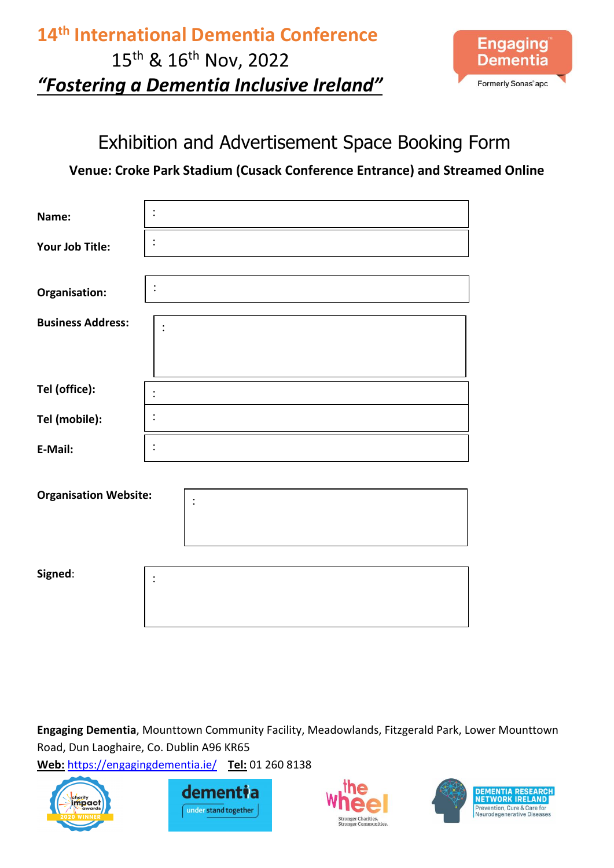## **14th International Dementia Conference** 15th & 16th Nov, 2022 *"Fostering a Dementia Inclusive Ireland"*



### Exhibition and Advertisement Space Booking Form

### **Venue: Croke Park Stadium (Cusack Conference Entrance) and Streamed Online**

| Name:                        |  |  |  |  |
|------------------------------|--|--|--|--|
| Your Job Title:              |  |  |  |  |
|                              |  |  |  |  |
| Organisation:                |  |  |  |  |
| <b>Business Address:</b>     |  |  |  |  |
|                              |  |  |  |  |
| Tel (office):                |  |  |  |  |
| Tel (mobile):                |  |  |  |  |
| E-Mail:                      |  |  |  |  |
|                              |  |  |  |  |
| <b>Organisation Website:</b> |  |  |  |  |
|                              |  |  |  |  |
|                              |  |  |  |  |
| Signed:                      |  |  |  |  |
|                              |  |  |  |  |

**Engaging Dementia**, Mounttown Community Facility, Meadowlands, Fitzgerald Park, Lower Mounttown Road, Dun Laoghaire, Co. Dublin A96 KR65







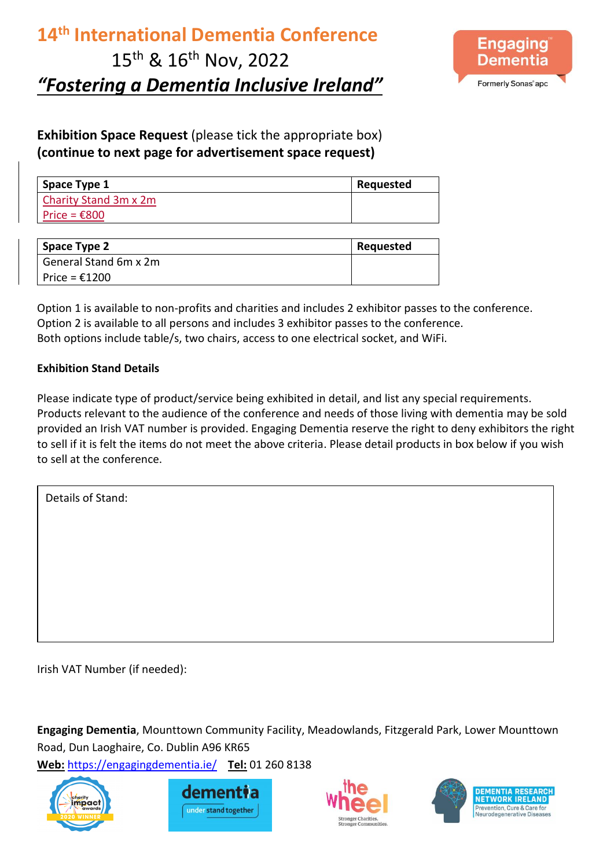## **14th International Dementia Conference** 15<sup>th</sup> & 16<sup>th</sup> Nov, 2022 *"Fostering a Dementia Inclusive Ireland"*



**Exhibition Space Request** (please tick the appropriate box) **(continue to next page for advertisement space request)**

| Space Type 1           | Requested |
|------------------------|-----------|
| Charity Stand 3m x 2m  |           |
| Price = $\epsilon$ 800 |           |

| Space Type 2          | Requested |
|-----------------------|-----------|
| General Stand 6m x 2m |           |
| Price = $£1200$       |           |

Option 1 is available to non-profits and charities and includes 2 exhibitor passes to the conference. Option 2 is available to all persons and includes 3 exhibitor passes to the conference. Both options include table/s, two chairs, access to one electrical socket, and WiFi.

#### **Exhibition Stand Details**

Please indicate type of product/service being exhibited in detail, and list any special requirements. Products relevant to the audience of the conference and needs of those living with dementia may be sold provided an Irish VAT number is provided. Engaging Dementia reserve the right to deny exhibitors the right to sell if it is felt the items do not meet the above criteria. Please detail products in box below if you wish to sell at the conference.

Details of Stand:

Irish VAT Number (if needed):

**Engaging Dementia**, Mounttown Community Facility, Meadowlands, Fitzgerald Park, Lower Mounttown Road, Dun Laoghaire, Co. Dublin A96 KR65







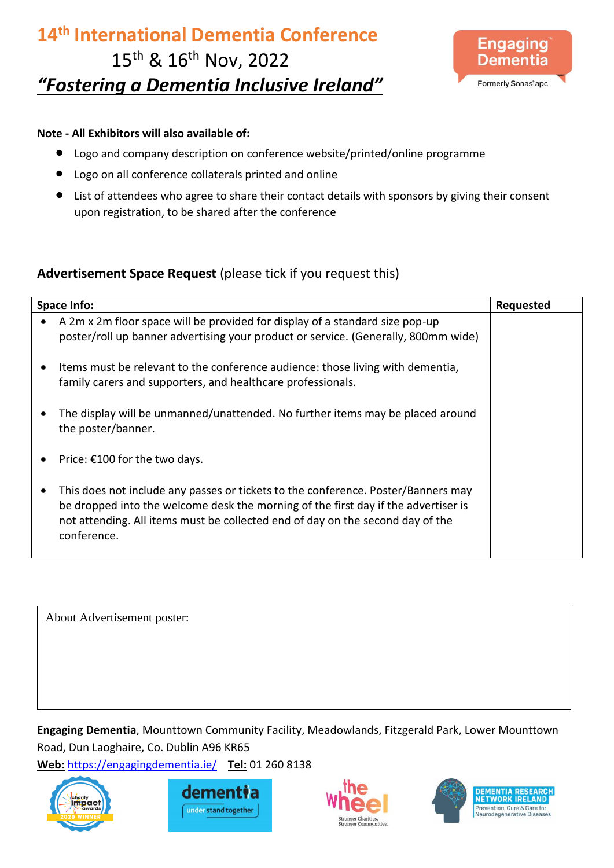# **14th International Dementia Conference** 15th & 16th Nov, 2022 *"Fostering a Dementia Inclusive Ireland"*



#### **Note - All Exhibitors will also available of:**

- Logo and company description on conference website/printed/online programme
- Logo on all conference collaterals printed and online
- List of attendees who agree to share their contact details with sponsors by giving their consent upon registration, to be shared after the conference

#### **Advertisement Space Request** (please tick if you request this)

|   | <b>Space Info:</b>                                                                                                                                                                                                                                                       | <b>Requested</b> |
|---|--------------------------------------------------------------------------------------------------------------------------------------------------------------------------------------------------------------------------------------------------------------------------|------------------|
|   | A 2m x 2m floor space will be provided for display of a standard size pop-up<br>poster/roll up banner advertising your product or service. (Generally, 800mm wide)                                                                                                       |                  |
|   | Items must be relevant to the conference audience: those living with dementia,<br>family carers and supporters, and healthcare professionals.                                                                                                                            |                  |
|   | The display will be unmanned/unattended. No further items may be placed around<br>the poster/banner.                                                                                                                                                                     |                  |
|   | Price: €100 for the two days.                                                                                                                                                                                                                                            |                  |
| ٠ | This does not include any passes or tickets to the conference. Poster/Banners may<br>be dropped into the welcome desk the morning of the first day if the advertiser is<br>not attending. All items must be collected end of day on the second day of the<br>conference. |                  |

About Advertisement poster:

**Engaging Dementia**, Mounttown Community Facility, Meadowlands, Fitzgerald Park, Lower Mounttown Road, Dun Laoghaire, Co. Dublin A96 KR65